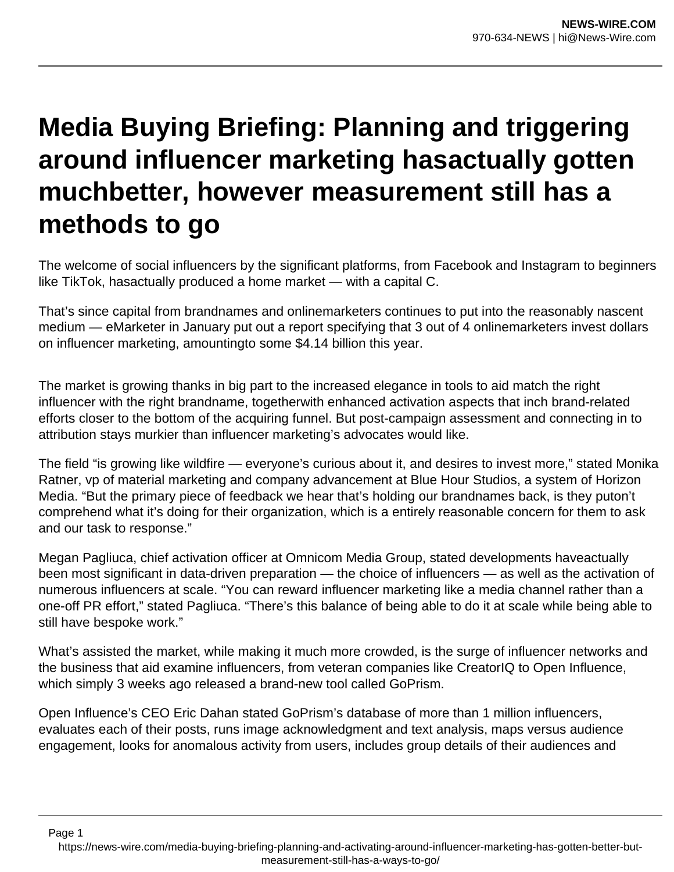# **Media Buying Briefing: Planning and triggering around influencer marketing hasactually gotten muchbetter, however measurement still has a methods to go**

The welcome of social influencers by the significant platforms, from Facebook and Instagram to beginners like TikTok, hasactually produced a home market — with a capital C.

That's since capital from brandnames and onlinemarketers continues to put into the reasonably nascent medium — eMarketer in January put out a report specifying that 3 out of 4 onlinemarketers invest dollars on influencer marketing, amountingto some \$4.14 billion this year.

The market is growing thanks in big part to the increased elegance in tools to aid match the right influencer with the right brandname, togetherwith enhanced activation aspects that inch brand-related efforts closer to the bottom of the acquiring funnel. But post-campaign assessment and connecting in to attribution stays murkier than influencer marketing's advocates would like.

The field "is growing like wildfire — everyone's curious about it, and desires to invest more," stated Monika Ratner, vp of material marketing and company advancement at Blue Hour Studios, a system of Horizon Media. "But the primary piece of feedback we hear that's holding our brandnames back, is they puton't comprehend what it's doing for their organization, which is a entirely reasonable concern for them to ask and our task to response."

Megan Pagliuca, chief activation officer at Omnicom Media Group, stated developments haveactually been most significant in data-driven preparation — the choice of influencers — as well as the activation of numerous influencers at scale. "You can reward influencer marketing like a media channel rather than a one-off PR effort," stated Pagliuca. "There's this balance of being able to do it at scale while being able to still have bespoke work."

What's assisted the market, while making it much more crowded, is the surge of influencer networks and the business that aid examine influencers, from veteran companies like CreatorIQ to Open Influence, which simply 3 weeks ago released a brand-new tool called GoPrism.

Open Influence's CEO Eric Dahan stated GoPrism's database of more than 1 million influencers, evaluates each of their posts, runs image acknowledgment and text analysis, maps versus audience engagement, looks for anomalous activity from users, includes group details of their audiences and

Page 1

https://news-wire.com/media-buying-briefing-planning-and-activating-around-influencer-marketing-has-gotten-better-butmeasurement-still-has-a-ways-to-go/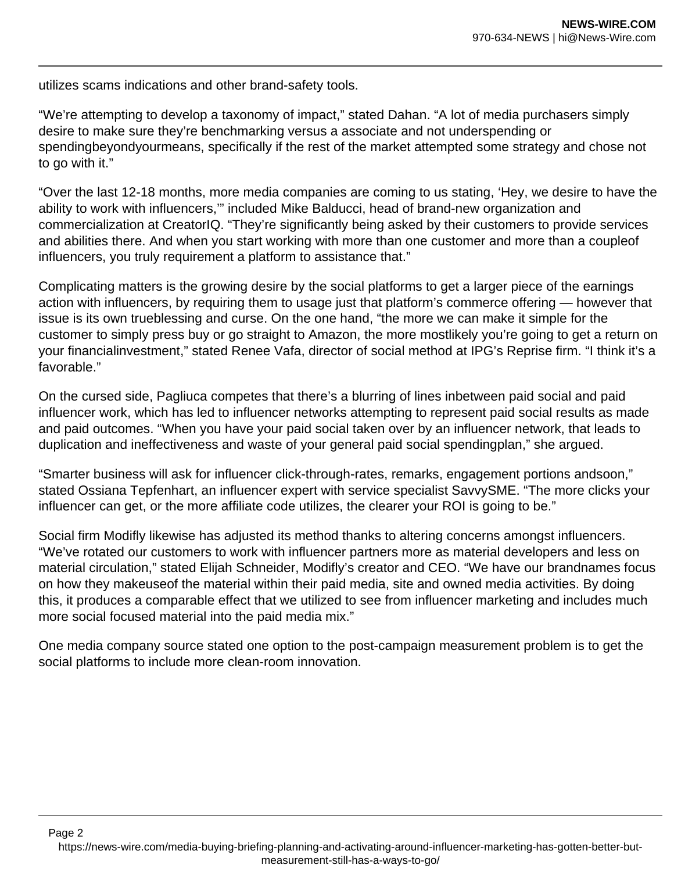utilizes scams indications and other brand-safety tools.

Page 2

"We're attempting to develop a taxonomy of impact," stated Dahan. "A lot of media purchasers simply desire to make sure they're benchmarking versus a associate and not underspending or spendingbeyondyourmeans, specifically if the rest of the market attempted some strategy and chose not to go with it."

"Over the last 12-18 months, more media companies are coming to us stating, 'Hey, we desire to have the ability to work with influencers,'" included Mike Balducci, head of brand-new organization and commercialization at CreatorIQ. "They're significantly being asked by their customers to provide services and abilities there. And when you start working with more than one customer and more than a coupleof influencers, you truly requirement a platform to assistance that."

Complicating matters is the growing desire by the social platforms to get a larger piece of the earnings action with influencers, by requiring them to usage just that platform's commerce offering — however that issue is its own trueblessing and curse. On the one hand, "the more we can make it simple for the customer to simply press buy or go straight to Amazon, the more mostlikely you're going to get a return on your financialinvestment," stated Renee Vafa, director of social method at IPG's Reprise firm. "I think it's a favorable."

On the cursed side, Pagliuca competes that there's a blurring of lines inbetween paid social and paid influencer work, which has led to influencer networks attempting to represent paid social results as made and paid outcomes. "When you have your paid social taken over by an influencer network, that leads to duplication and ineffectiveness and waste of your general paid social spendingplan," she argued.

"Smarter business will ask for influencer click-through-rates, remarks, engagement portions andsoon," stated Ossiana Tepfenhart, an influencer expert with service specialist SavvySME. "The more clicks your influencer can get, or the more affiliate code utilizes, the clearer your ROI is going to be."

Social firm Modifly likewise has adjusted its method thanks to altering concerns amongst influencers. "We've rotated our customers to work with influencer partners more as material developers and less on material circulation," stated Elijah Schneider, Modifly's creator and CEO. "We have our brandnames focus on how they makeuseof the material within their paid media, site and owned media activities. By doing this, it produces a comparable effect that we utilized to see from influencer marketing and includes much more social focused material into the paid media mix."

One media company source stated one option to the post-campaign measurement problem is to get the social platforms to include more clean-room innovation.

https://news-wire.com/media-buying-briefing-planning-and-activating-around-influencer-marketing-has-gotten-better-butmeasurement-still-has-a-ways-to-go/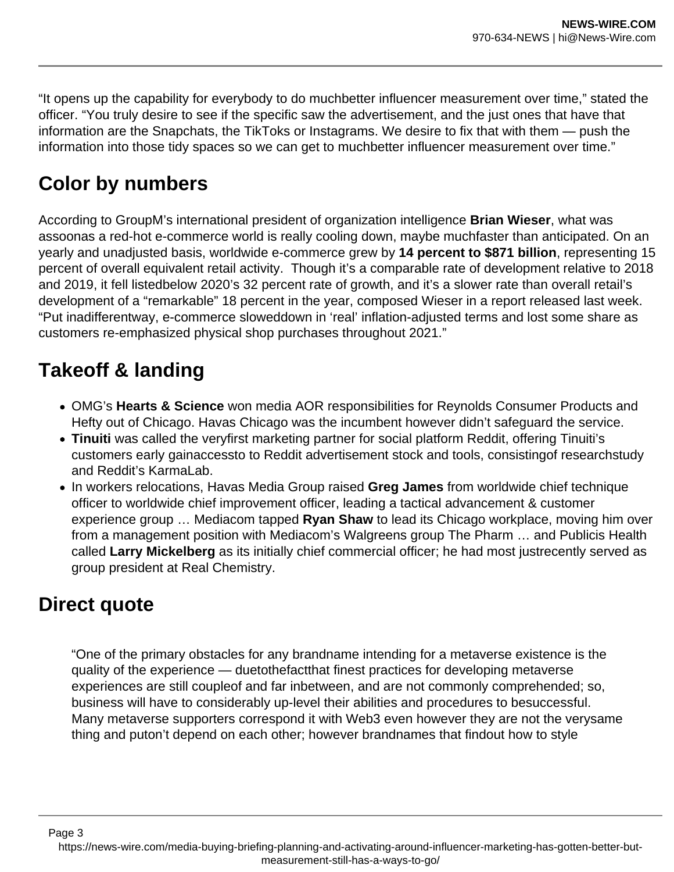"It opens up the capability for everybody to do muchbetter influencer measurement over time," stated the officer. "You truly desire to see if the specific saw the advertisement, and the just ones that have that information are the Snapchats, the TikToks or Instagrams. We desire to fix that with them — push the information into those tidy spaces so we can get to muchbetter influencer measurement over time."

## **Color by numbers**

According to GroupM's international president of organization intelligence **Brian Wieser**, what was assoonas a red-hot e-commerce world is really cooling down, maybe muchfaster than anticipated. On an yearly and unadjusted basis, worldwide e-commerce grew by **14 percent to \$871 billion**, representing 15 percent of overall equivalent retail activity. Though it's a comparable rate of development relative to 2018 and 2019, it fell listedbelow 2020's 32 percent rate of growth, and it's a slower rate than overall retail's development of a "remarkable" 18 percent in the year, composed Wieser in a report released last week. "Put inadifferentway, e-commerce sloweddown in 'real' inflation-adjusted terms and lost some share as customers re-emphasized physical shop purchases throughout 2021."

## **Takeoff & landing**

- OMG's **Hearts & Science** won media AOR responsibilities for Reynolds Consumer Products and Hefty out of Chicago. Havas Chicago was the incumbent however didn't safeguard the service.
- **Tinuiti** was called the veryfirst marketing partner for social platform Reddit, offering Tinuiti's customers early gainaccessto to Reddit advertisement stock and tools, consistingof researchstudy and Reddit's KarmaLab.
- In workers relocations, Havas Media Group raised **Greg James** from worldwide chief technique officer to worldwide chief improvement officer, leading a tactical advancement & customer experience group … Mediacom tapped **Ryan Shaw** to lead its Chicago workplace, moving him over from a management position with Mediacom's Walgreens group The Pharm … and Publicis Health called **Larry Mickelberg** as its initially chief commercial officer; he had most justrecently served as group president at Real Chemistry.

#### **Direct quote**

Page 3

"One of the primary obstacles for any brandname intending for a metaverse existence is the quality of the experience — duetothefactthat finest practices for developing metaverse experiences are still coupleof and far inbetween, and are not commonly comprehended; so, business will have to considerably up-level their abilities and procedures to besuccessful. Many metaverse supporters correspond it with Web3 even however they are not the verysame thing and puton't depend on each other; however brandnames that findout how to style

https://news-wire.com/media-buying-briefing-planning-and-activating-around-influencer-marketing-has-gotten-better-butmeasurement-still-has-a-ways-to-go/